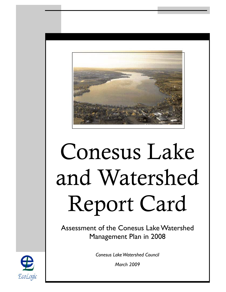

# Conesus Lake and Watershed Report Card

Assessment of the Conesus Lake Watershed Management Plan in 2008

*Conesus Lake Watershed Council* 

*March 2009* 

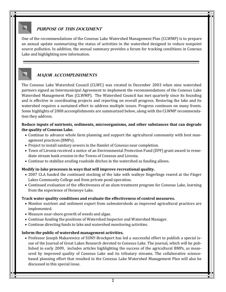# **PURPOSE OF THIS DOCUMENT**

One of the recommendations of the Conesus Lake Watershed Management Plan (CLWMP) is to prepare an annual update summarizing the status of activities in the watershed designed to reduce nonpoint source pollution. In addition, the annual summary provides a forum for tracking conditions in Conesus Lake and highlighting new information.

# **Major accomplishments**

The Conesus Lake Watershed Council (CLWC) was created in December 2003 when nine watershed partners signed an Intermunicipal Agreement to implement the recommendations of the Conesus Lake Watershed Management Plan (CLWMP). The Watershed Council has met quarterly since its founding and is effective in coordinating projects and reporting on overall progress. Restoring the lake and its watershed requires a sustained effort to address multiple issues. Progress continues on many fronts. Some highlights of 2008 accomplishments are summarized below, along with the CLWMP recommendation they address.

#### **Reduce inputs of nutrients, sediments, microorganisms, and other substances that can degrade the quality of Conesus Lake.**

- Continue to advance whole farm planning and support the agricultural community with best management practices (BMPs).
- Project to install sanitary sewers in the Hamlet of Conesus near completion.
- Town of Livonia received a notice of an Environmental Protection Fund (EPF) grant award to remediate stream bank erosion in the Towns of Conesus and Livonia.
- Continue to stabilize eroding roadside ditches in the watershed as funding allows.

#### **Modify in-lake processes in ways that will improve recreational quality.**

- 2007 CLA funded the continued stocking of the lake with walleye fingerlings reared at the Finger Lakes Community College and from private pond operation.
- Continued evaluation of the effectiveness of an alum treatment program for Conesus Lake, learning from the experience of Honeoye Lake.

#### **Track water quality conditions and evaluate the effectiveness of control measures.**

- Monitor nutrient and sediment export from subwatersheds as improved agricultural practices are implemented.
- Measure near-shore growth of weeds and algae.
- Continue funding the positions of Watershed Inspector and Watershed Manager.
- Continue directing funds to lake and watershed monitoring activities.

#### **Inform the public of watershed management activities.**

• Professor Joseph Makarewicz of SUNY-Brockport has led a successful effort to publish a special issue of the Journal of Great Lakes Research devoted to Conesus Lake. The journal, which will be published in early 2009, includes articles highlighting the success of the agricultural BMPs, as measured by improved quality of Conesus Lake and its tributary streams. The collaborative sciencebased planning effort that resulted in the Conesus Lake Watershed Management Plan will also be discussed in this special issue.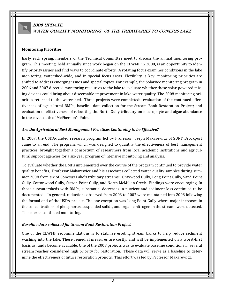# **2008 UPDATE: water quality monitoring of the tributaries to conesus lake**

#### **Monitoring Priorities**

Early each spring, members of the Technical Committee meet to discuss the annual monitoring program. This meeting, held annually since work began on the CLWMP in 2000, is an opportunity to identify priority issues and find ways to coordinate efforts. A rotating focus examines conditions in the lake monitoring, watershed-wide, and in special focus areas. Flexibility is key; monitoring priorities are shifted to address emerging issues and special topics. For example, the SolarBee monitoring program in 2006 and 2007 directed monitoring resources to the lake to evaluate whether these solar-powered mixing devices could bring about discernable improvement in lake water quality. The 2008 monitoring priorities returned to the watershed. Three projects were completed: evaluation of the continued effectiveness of agricultural BMPs; baseline data collection for the Stream Bank Restoration Project; and evaluation of effectiveness of relocating the North Gully tributary on macrophyte and algae abundance in the cove south of McPherson's Point.

#### *Are the Agricultural Best Management Practices Continuing to be Effective?*

In 2007, the USDA-funded research program led by Professor Joseph Makarewicz of SUNY Brockport came to an end. The program, which was designed to quantify the effectiveness of best management practices, brought together a consortium of researchers from local academic institutions and agricultural support agencies for a six-year program of intensive monitoring and analysis.

To evaluate whether the BMPs implemented over the course of the program continued to provide water quality benefits, Professor Makarewicz and his associates collected water quality samples during summer 2008 from six of Conesus Lake's tributary streams: Graywood Gully, Long Point Gully, Sand Point Gully, Cottonwood Gully, Sutton Point Gully, and North McMillan Creek. Findings were encouraging. In those subwatersheds with BMPs, substantial decreases in nutrient and sediment loss continued to be documented. In general, reductions observed from 2003 to 2007 were maintained into 2008 following the formal end of the USDA project. The one exception was Long Point Gully where major increases in the concentrations of phosphorus, suspended solids, and organic nitrogen in the stream were detected. This merits continued monitoring.

#### *Baseline data collected for Stream Bank Restoration Project*

One of the CLWMP recommendations is to stabilize eroding stream banks to help reduce sediment washing into the lake. These remedial measures are costly, and will be implemented on a worst-first basis as funds become available. One of the 2008 projects was to evaluate baseline conditions in several stream reaches considered high priority for restoration. These data will serve as a baseline to determine the effectiveness of future restoration projects. This effort was led by Professor Makarewicz.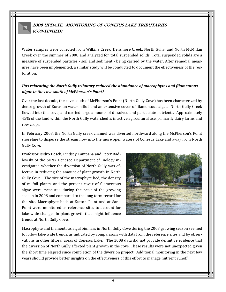# **2008 Update: monitoring of Conesus Lake tributaries (continued)**

Water samples were collected from Wilkins Creek, Densmore Creek, North Gully, and North McMillan Creek over the summer of 2008 and analyzed for total suspended solids. Total suspended solids are a measure of suspended particles - soil and sediment - being carried by the water. After remedial measures have been implemented, a similar study will be conducted to document the effectiveness of the restoration.

#### *Has relocating the North Gully tributary reduced the abundance of macrophytes and filamentous algae in the cove south of McPherson's Point?*

Over the last decade, the cove south of McPherson's Point (North Gully Cove) has been characterized by dense growth of Eurasian watermilfoil and an extensive cover of filamentous algae. North Gully Creek flowed into this cove, and carried large amounts of dissolved and particulate nutrients. Approximately 45% of the land within the North Gully watershed is in active agricultural use, primarily dairy farms and row crops.

In February 2008, the North Gully creek channel was diverted northward along the McPherson's Point shoreline to disperse the stream flow into the more open waters of Conesus Lake and away from North Gully Cove.

Professor Isidro Bosch, Lindsey Campana and Peter Radlowski of the SUNY Geneseo Department of Biology investigated whether the diversion of North Gully was effective in reducing the amount of plant growth in North Gully Cove. The size of the macrophyte bed, the density of milfoil plants, and the percent cover of filamentous algae were measured during the peak of the growing season in 2008 and compared to the long term record for the site. Macrophyte beds at Sutton Point and at Sand Point were monitored as reference sites to account for lake-wide changes in plant growth that might influence trends at North Gully Cove.



Macrophyte and filamentous algal biomass in North Gully Cove during the 2008 growing season seemed to follow lake-wide trends, as indicated by comparisons with data from the reference sites and by observations in other littoral areas of Conesus Lake. The 2008 data did not provide definitive evidence that the diversion of North Gully affected plant growth in the cove. These results were not unexpected given the short time elapsed since completion of the diversion project. Additional monitoring in the next few years should provide better insights on the effectiveness of this effort to manage nutrient runoff.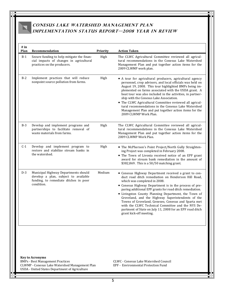# **Conesus Lake Watershed Management Plan Implementation Status Report—2008 Year In Review**

| # in<br>Plan | Recommendation                                                                                                                                                        | Priority | <b>Action Taken</b>                                                                                                                                                                                                                                                                                                                                                                                                                                                                                                                                                                |
|--------------|-----------------------------------------------------------------------------------------------------------------------------------------------------------------------|----------|------------------------------------------------------------------------------------------------------------------------------------------------------------------------------------------------------------------------------------------------------------------------------------------------------------------------------------------------------------------------------------------------------------------------------------------------------------------------------------------------------------------------------------------------------------------------------------|
| $B-1$        | Secure funding to help mitigate the finan-<br>cial impacts of changes in agricultural<br>practices on the producers.                                                  | High     | The CLWC Agricultural Committee reviewed all agricul-<br>tural recommendations in the Conesus Lake Watershed<br>Management Plan and put together action items for the<br>2009 CLWMP work plan.                                                                                                                                                                                                                                                                                                                                                                                     |
| $B-2$        | Implement practices that will reduce<br>nonpoint source pollution from farms.                                                                                         | High     | • A tour for agricultural producers, agricultural agency<br>personnel, crop advisors, and local officials was held on<br>August 19, 2008. This tour highlighted BMPs being im-<br>plemented on farms associated with the USDA grant. A<br>boat tour was also included in the activities, in partner-<br>ship with the Conesus Lake Association.<br>• The CLWC Agricultural Committee reviewed all agricul-<br>tural recommendations in the Conesus Lake Watershed<br>Management Plan and put together action items for the<br>2009 CLWMP Work Plan.                                |
| $B-3$        | Develop and implement programs and<br>partnerships to facilitate removal of<br>waste materials from farms.                                                            | High     | The CLWC Agricultural Committee reviewed all agricul-<br>tural recommendations in the Conesus Lake Watershed<br>Management Plan and put together action items for the<br>2009 CLWMP Work Plan.                                                                                                                                                                                                                                                                                                                                                                                     |
| $C-1$        | Develop and implement program to<br>restore and stabilize stream banks in<br>the watershed.                                                                           | High     | • The McPherson's Point Project/North Gully Straighten-<br>ing Project was completed in February 2008.<br>• The Town of Livonia received notice of an EPF grant<br>award for stream bank remediation in the amount of<br>\$382,869. This is a 50/50 matching grant.                                                                                                                                                                                                                                                                                                                |
| $D-3$        | Municipal Highway Departments should<br>develop a plan, subject to available<br>funding, to remediate ditches in poor<br>condition.                                   | Medium   | • Conesus Highway Department received a grant to con-<br>duct road ditch remediation on Henderson Hill Road,<br>which was completed in 2008.<br>• Conesus Highway Department is in the process of pre-<br>paring additional EPF grants for road ditch remediation.<br>• Livingston County Planning Department, the Town of<br>Groveland, and the Highway Superintendents of the<br>Towns of Groveland, Geneseo, Conesus and Sparta met<br>with the CLWC Technical Committee and the NYS De-<br>partment of State on July 11, 2008 for an EPF road ditch<br>grant kick-off meeting. |
|              | <b>Key to Acronyms</b><br><b>BMPs - Best Management Practices</b><br>CLWMP - Conesus Lake Watershed Management Plan<br>USDA - United States Department of Agriculture |          | <b>CLWC - Conesus Lake Watershed Council</b><br><b>EPF</b> - Environmental Protection Fund                                                                                                                                                                                                                                                                                                                                                                                                                                                                                         |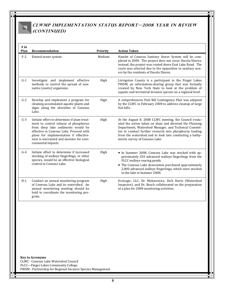# **CLWMP Implementation Status Report—2008 Year In Review (continued)**

| # in<br>Plan | Recommendation                                                                                                                                                                                                                                                                  | Priority | <b>Action Taken</b>                                                                                                                                                                                                                                                                                                               |
|--------------|---------------------------------------------------------------------------------------------------------------------------------------------------------------------------------------------------------------------------------------------------------------------------------|----------|-----------------------------------------------------------------------------------------------------------------------------------------------------------------------------------------------------------------------------------------------------------------------------------------------------------------------------------|
| $F-2$        | Extend sewer system                                                                                                                                                                                                                                                             | Medium   | Hamlet of Conesus Sanitary Sewer System will be com-<br>pleted in 2009. The project does not cover Dacola Shores;<br>instead, the project was routed down East Lake Road. The<br>route was selected due to the opposition to sanitary sew-<br>ers by the residents of Dacola Shores.                                              |
| $G-1$        | Investigate and implement effective<br>methods to control the spread of non-<br>native (exotic) organisms.                                                                                                                                                                      | High     | Livingston County is a participant in the Finger Lakes<br>PRISM, an information-sharing group that was formally<br>created by New York State to look at the problem of<br>aquatic and terrestrial invasive species on a regional level.                                                                                           |
| $G-2$        | Develop and implement a program for<br>cleaning accumulated aquatic plants and<br>algae along the shoreline of Conesus<br>Lake.                                                                                                                                                 | High     | A comprehensive Fish Kill Contingency Plan was adopted<br>by the CLWC in February 2008 to address cleanup of large<br>fish kills.                                                                                                                                                                                                 |
| $G-3$        | Initiate effort to determine if alum treat-<br>ment to control release of phosphorus<br>from deep lake sediments would be<br>effective in Conesus Lake. Proceed with<br>plans for implementation if effective-<br>ness is warranted and monitor for envi-<br>ronmental impacts. | High     | At the August 8, 2008 CLWC meeting, the Council evalu-<br>ated the action taken on alum and directed the Planning<br>Department, Watershed Manager, and Technical Commit-<br>tee to conduct further research into phosphorus loading<br>from the watershed and to look into conducting a bathy-<br>metric survey of Conesus Lake. |
| $G-4$        | Initiate effort to determine if increased<br>stocking of walleye fingerlings, or other<br>species, would be an effective biological<br>control in Conesus Lake.                                                                                                                 | High     | • In Summer 2008, Conesus Lake was stocked with ap-<br>proximately 250 advanced walleye fingerlings from the<br>FLCC walleye rearing ponds.<br>• The Conesus Lake Association purchased approximately<br>2,000 advanced walleye fingerlings, which were stocked<br>in the lake in Summer 2008.                                    |
| $H-1$        | Conduct an annual monitoring program<br>of Conesus Lake and its watershed. An<br>annual monitoring meeting should be<br>held to coordinate the monitoring pro-<br>gram.                                                                                                         | High     | EcoLogic, LLC, Dr. Makarewicz, Dick Davin (Watershed<br>Inspector), and Dr. Bosch collaborated on the preparation<br>of a plan for 2008 monitoring activities.                                                                                                                                                                    |
|              |                                                                                                                                                                                                                                                                                 |          |                                                                                                                                                                                                                                                                                                                                   |

**Key to Acronyms**  CLWC - Conesus Lake Watershed Council FLCC—Finger Lakes Community College PRISM - Partnership for Regional Invasive Species Management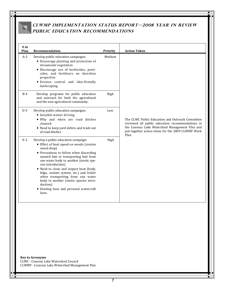# **CLWMP Implementation Status Report—2008 Year In Review Public Education Recommendations**

| # in<br>Plan | <b>Recommendation</b>                                                                                                                                                                                                                                                                                                                                                                                                                                                                     | Priority | <b>Action Taken</b>                                                                                                                                                                                                  |
|--------------|-------------------------------------------------------------------------------------------------------------------------------------------------------------------------------------------------------------------------------------------------------------------------------------------------------------------------------------------------------------------------------------------------------------------------------------------------------------------------------------------|----------|----------------------------------------------------------------------------------------------------------------------------------------------------------------------------------------------------------------------|
| $A-3$        | Develop public education campaigns:<br>• Encourage planting and protection of<br>streamside vegetation<br>· Discourage use of herbicides, pesti-<br>cides, and fertilizers on shoreline<br>properties<br>· Erosion control and lake-friendly<br>landscaping                                                                                                                                                                                                                               | Medium   |                                                                                                                                                                                                                      |
| $B-4$        | Develop programs for public education<br>and outreach for both the agricultural<br>and the non-agricultural community.                                                                                                                                                                                                                                                                                                                                                                    | High     |                                                                                                                                                                                                                      |
| $D-5$        | Develop public education campaigns:<br>• Sensible winter driving<br>. Why and when are road ditches<br>cleaned<br>• Need to keep yard debris and trash out<br>of road ditches                                                                                                                                                                                                                                                                                                             | Low      | The CLWC Public Education and Outreach Committee<br>reviewed all public education recommendations in<br>the Conesus Lake Watershed Management Plan and<br>put together action items for the 2009 CLWMP Work<br>Plan. |
| $E-2$        | Develop a public education campaign:<br>• Effect of boat speed on weeds (creates<br>weed-chop)<br>• Precautions to follow when discarding<br>unused bait or transporting bait from<br>one water body to another (exotic spe-<br>cies introduction).<br>• Need to clean and inspect boat (body,<br>bilge, coolant system, etc.) and trailer<br>when transporting from one water<br>body to another (exotic species intro-<br>duction).<br>• Existing boat and personal watercraft<br>laws. | High     |                                                                                                                                                                                                                      |

**Key to Acronyms**  CLWC - Conesus Lake Watershed Council CLWMP - Conesus Lake Watershed Management Plan

7